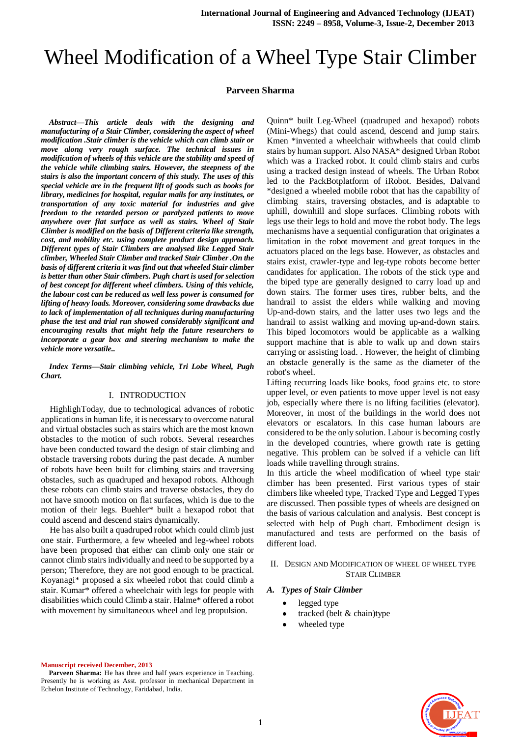# Wheel Modification of a Wheel Type Stair Climber

#### **Parveen Sharma**

*Abstract—This article deals with the designing and manufacturing of a Stair Climber, considering the aspect of wheel modification .Stair climber is the vehicle which can climb stair or move along very rough surface. The technical issues in modification of wheels of this vehicle are the stability and speed of the vehicle while climbing stairs. However, the steepness of the stairs is also the important concern of this study. The uses of this special vehicle are in the frequent lift of goods such as books for library, medicines for hospital, regular mails for any institutes, or transportation of any toxic material for industries and give freedom to the retarded person or paralyzed patients to move anywhere over flat surface as well as stairs. Wheel of Stair Climber is modified on the basis of Different criteria like strength, cost, and mobility etc. using complete product design approach. Different types of Stair Climbers are analysed like Legged Stair climber, Wheeled Stair Climber and tracked Stair Climber .On the basis of different criteria it was find out that wheeled Stair climber is better than other Stair climbers. Pugh chart is used for selection of best concept for different wheel climbers. Using of this vehicle, the labour cost can be reduced as well less power is consumed for lifting of heavy loads. Moreover, considering some drawbacks due to lack of implementation of all techniques during manufacturing phase the test and trial run showed considerably significant and encouraging results that might help the future researchers to incorporate a gear box and steering mechanism to make the vehicle more versatile..*

*Index Terms—Stair climbing vehicle, Tri Lobe Wheel, Pugh Chart.* 

#### I. INTRODUCTION

HighlighToday, due to technological advances of robotic applications in human life, it is necessary to overcome natural and virtual obstacles such as stairs which are the most known obstacles to the motion of such robots. Several researches have been conducted toward the design of stair climbing and obstacle traversing robots during the past decade. A number of robots have been built for climbing stairs and traversing obstacles, such as quadruped and hexapod robots. Although these robots can climb stairs and traverse obstacles, they do not have smooth motion on flat surfaces, which is due to the motion of their legs. Buehler\* built a hexapod robot that could ascend and descend stairs dynamically.

He has also built a quadruped robot which could climb just one stair. Furthermore, a few wheeled and leg-wheel robots have been proposed that either can climb only one stair or cannot climb stairs individually and need to be supported by a person; Therefore, they are not good enough to be practical. Koyanagi\* proposed a six wheeled robot that could climb a stair. Kumar\* offered a wheelchair with legs for people with disabilities which could Climb a stair. Halme\* offered a robot with movement by simultaneous wheel and leg propulsion.

Quinn\* built Leg-Wheel (quadruped and hexapod) robots (Mini-Whegs) that could ascend, descend and jump stairs. Kmen \*invented a wheelchair withwheels that could climb stairs by human support. Also NASA\* designed Urban Robot which was a Tracked robot. It could climb stairs and curbs using a tracked design instead of wheels. The Urban Robot led to the PackBotplatform of iRobot. Besides, Dalvand \*designed a wheeled mobile robot that has the capability of climbing stairs, traversing obstacles, and is adaptable to uphill, downhill and slope surfaces. Climbing robots with legs use their legs to hold and move the robot body. The legs mechanisms have a sequential configuration that originates a limitation in the robot movement and great torques in the actuators placed on the legs base. However, as obstacles and stairs exist, crawler-type and leg-type robots become better candidates for application. The robots of the stick type and the biped type are generally designed to carry load up and down stairs. The former uses tires, rubber belts, and the handrail to assist the elders while walking and moving Up-and-down stairs, and the latter uses two legs and the handrail to assist walking and moving up-and-down stairs. This biped locomotors would be applicable as a walking support machine that is able to walk up and down stairs carrying or assisting load. . However, the height of climbing an obstacle generally is the same as the diameter of the robot's wheel.

Lifting recurring loads like books, food grains etc. to store upper level, or even patients to move upper level is not easy job, especially where there is no lifting facilities (elevator). Moreover, in most of the buildings in the world does not elevators or escalators. In this case human labours are considered to be the only solution. Labour is becoming costly in the developed countries, where growth rate is getting negative. This problem can be solved if a vehicle can lift loads while travelling through strains.

In this article the wheel modification of wheel type stair climber has been presented. First various types of stair climbers like wheeled type, Tracked Type and Legged Types are discussed. Then possible types of wheels are designed on the basis of various calculation and analysis. Best concept is selected with help of Pugh chart. Embodiment design is manufactured and tests are performed on the basis of different load.

#### II. DESIGN AND MODIFICATION OF WHEEL OF WHEEL TYPE STAIR CLIMBER

#### *A. Types of Stair Climber*

- legged type
- tracked (belt & chain)type
- wheeled type



#### **Manuscript received December, 2013**

Parveen Sharma: He has three and half years experience in Teaching. Presently he is working as Asst. professor in mechanical Department in Echelon Institute of Technology, Faridabad, India.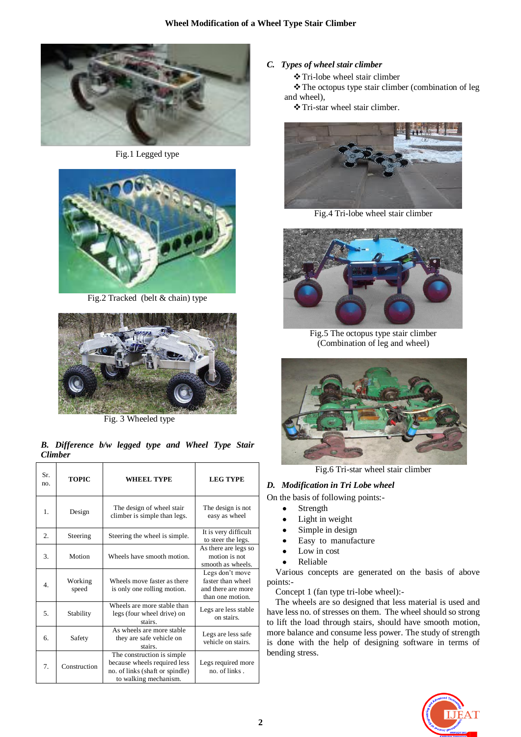

Fig.1 Legged type



Fig.2 Tracked (belt & chain) type



Fig. 3 Wheeled type

*B. Difference b/w legged type and Wheel Type Stair Climber*

| Sr.<br>no.       | <b>TOPIC</b>     | WHEEL TYPE                                                                                                              | <b>LEG TYPE</b>                                                                |
|------------------|------------------|-------------------------------------------------------------------------------------------------------------------------|--------------------------------------------------------------------------------|
| 1.               | Design           | The design of wheel stair<br>climber is simple than legs.                                                               | The design is not<br>easy as wheel                                             |
| 2.               | Steering         | Steering the wheel is simple.                                                                                           | It is very difficult<br>to steer the legs.                                     |
| 3.               | Motion           | Wheels have smooth motion.                                                                                              | As there are legs so<br>motion is not<br>smooth as wheels.                     |
| $\overline{4}$ . | Working<br>speed | Wheels move faster as there<br>is only one rolling motion.                                                              | Legs don't move<br>faster than wheel<br>and there are more<br>than one motion. |
| 5.               | Stability        | Wheels are more stable than<br>legs (four wheel drive) on<br>stairs.                                                    | Legs are less stable<br>on stairs.                                             |
| 6.               | Safety           | As wheels are more stable<br>they are safe vehicle on<br>stairs.                                                        | Legs are less safe<br>vehicle on stairs.                                       |
| 7.               | Construction     | The construction is simple.<br>because wheels required less<br>no. of links (shaft or spindle)<br>to walking mechanism. | Legs required more<br>no. of links.                                            |

# *C. Types of wheel stair climber*

Tri-lobe wheel stair climber

The octopus type stair climber (combination of leg and wheel),

Tri-star wheel stair climber.



Fig.4 Tri-lobe wheel stair climber



Fig.5 The octopus type stair climber (Combination of leg and wheel)



Fig.6 Tri-star wheel stair climber

# *D. Modification in Tri Lobe wheel*

On the basis of following points:-

- Strength
- Light in weight
- Simple in design
- Easy to manufacture
- Low in cost
- Reliable

Various concepts are generated on the basis of above points:-

Concept 1 (fan type tri-lobe wheel):-

The wheels are so designed that less material is used and have less no. of stresses on them. The wheel should so strong to lift the load through stairs, should have smooth motion, more balance and consume less power. The study of strength is done with the help of designing software in terms of bending stress.

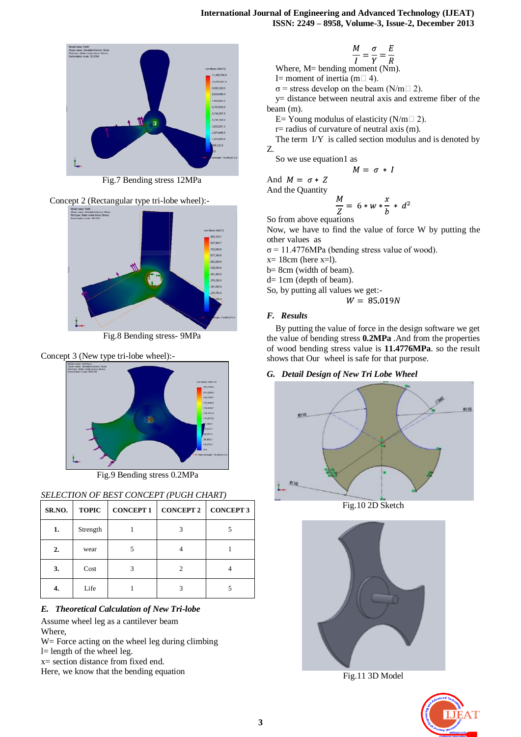

Fig.7 Bending stress 12MPa





Fig.8 Bending stress- 9MPa

#### Concept 3 (New type tri-lobe wheel):-



Fig.9 Bending stress 0.2MPa

# *SELECTION OF BEST CONCEPT (PUGH CHART)*

| SR.NO. | <b>TOPIC</b> | <b>CONCEPT 1</b> | <b>CONCEPT 2</b> | <b>CONCEPT 3</b> |
|--------|--------------|------------------|------------------|------------------|
| 1.     | Strength     |                  |                  |                  |
| 2.     | wear         |                  |                  |                  |
| 3.     | Cost         |                  |                  |                  |
| 4.     | Life         |                  |                  |                  |

# *E. Theoretical Calculation of New Tri-lobe*

Assume wheel leg as a cantilever beam Where,

W = Force acting on the wheel leg during climbing

l= length of the wheel leg.

x= section distance from fixed end.

Here, we know that the bending equation

$$
\frac{M}{I} = \frac{\sigma}{V} = \frac{E}{R}
$$

Where, M= bending moment (Nm).

I= moment of inertia (m $\Box$ 4).

 $σ$  = stress develop on the beam (N/m $\Box$ 2).

y= distance between neutral axis and extreme fiber of the beam (m).

E= Young modulus of elasticity ( $N/m \Box$ 2).

r= radius of curvature of neutral axis (m).

The term I/Y is called section modulus and is denoted by Z.

So we use equation1 as

 $M = \sigma * I$ 

And  $M = \sigma * Z$ And the Quantity

$$
\frac{M}{Z} = 6*w*\frac{x}{b}*d^2
$$

So from above equations

Now, we have to find the value of force W by putting the other values as

 $σ = 11.4776 MPa$  (bending stress value of wood).

 $x= 18$ cm (here  $x=1$ ).

b= 8cm (width of beam).

d= 1cm (depth of beam).

So, by putting all values we get:-

$$
W = 85.019N
$$

#### *F. Results*

By putting the value of force in the design software we get the value of bending stress **0.2MPa** .And from the properties of wood bending stress value is **11.4776MPa**. so the result shows that Our wheel is safe for that purpose.

# *G. Detail Design of New Tri Lobe Wheel*



Fig.10 2D Sketch



Fig.11 3D Model